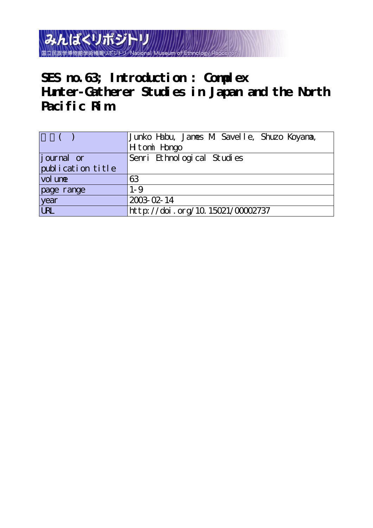みんぱくリポジトリ 国立民族学博物館学術情報リポジト

**SES no.63; Introduction : Complex Hunter-Gatherer Studies in Japan and the North Pacific Rim**

|                   | Junko Habu, Janes M. Savelle, Shuzo Koyana, |
|-------------------|---------------------------------------------|
|                   | H tomi Hongo                                |
| journal or        | Senri Ethnological Studies                  |
| publication title |                                             |
| vol une           | 63                                          |
| page range        | $1 - 9$                                     |
| year<br>URL       | 2003-02-14                                  |
|                   | http://doi.org/10.15021/00002737            |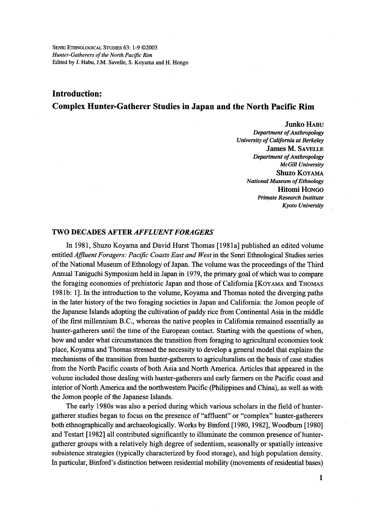# Introduction: Complex Hunter-Gatherer Studies in Japan and the North Pacific Rim

 Junko HABu Department of Anthropology University of California at Berkeley James M. SAvELLE Department of Anthropology McGill University Shuzo KoyAMA National Museum of Ethnology Hitomi HoNGo Primate Research Institute Kyoto University

## TWO DECADES AFTER AFFLUENT FORAGERS

 In 1981, Shuzo Koyama and David Hurst Thomas [1981a] published an edited volume entitled Affluent Foragers: Pacific Coasts East and West in the Senri Ethnological Studies series of the National Museum of Ethnology of Japan. The volume was the proceedings of the Third Annual Taniguchi Symposium held in Japan in 1979, the primary goal of which was to compare the foraging economies of prehistoric Japan and those of California [KOYAMA and THOMAS 198lb: 1]. ln the introduction to the volume, Koyama and Thomas noted the diverging paths in the later history of the two foraging societies in Japan and Califomia: the Jomon people of the Japanese Islands adopting the cultivation of paddy rice from Continental Asia in the middle ofthe first mi11emium B.C., whereas the native peoples in Califbrnia remained essentially as hunter-gatherers until the time of the European contact. Starting with the questions of when, how and under what circumstances the transition from foraging to agricultural economies took place, Koyama and Thomas stressed the necessity to develop a general model that explains the mechanisms of the transition from hunter-gatherers to agriculturalists on the basis of case studies from the North Pacific coasts of both Asia and North America. Articles that appeared in the volume included those dealing with hunter-gatherers and early farmers on the Pacific coast and interior of North America and the northwestern Pacific (Philippines and China), as well as with the Jomon people of the Japanese Islands.

 The early 1980s was also a period during which various scholars in the field of huntergatherer studies began to focus on the presence of "affluent" or "complex" hunter-gatherers both ethnographically and archaeologically. Works by Binford [1980, 1982], Woodburn [1980] and Testart [1982] all contributed significantly to illuminate the common presence of huntergatherer groups with a relatively high degree of sedentism, seasonally or spatially intensive subsistence strategies (typically characterized by food storage), and high population density. ln pardcular, Binford's distinction between residential mobility (movements of residential bases)

1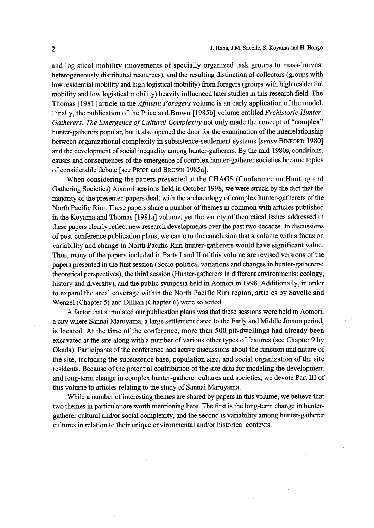and logistical mobility (movements of specially organized task groups to mass-harvest heterogeneously distributed resources), and the resulting distinction of collectors (groups with low residential mobility and high logistical mobility) from foragers (groups with high residential mobility and low logistical mobility) heavily influenced later studies in this research field. 'Ihe Thomas [1981] article in the *Affluent Foragers* volume is an early application of the model. Finally, the publication of the Price and Brown [1985b] volume entitled *Prehistoric Hunter-*Gatherers: The Emergence of Cultural Complexity not only made the concept of "complex" hunter-gatherers popular, but it also opened the door for the examination of the interrelationship between organizational complexity in subsistence-settlement systems [sensu BINFORD 1980] and the development of social inequality among hunter-gatherers. By the mid-1980s, conditions, causes and consequences of the emergence of complex hunter-gatherer societies became topics of considerable debate [see PRICE and BROWN 1985a].

 When considering the papers presented at the CHAGS (Conference on Hunting and Gathering Societies) Aomori sessions held in October 1998, we were stmck by the fact that the majority of the presented papers dealt with the archaeology of complex hunter-gatherers of the North Pacific Rim. These papers share a number of themes in common with articles published in the Koyama and Thomas [1981a] volume, yet the variety of theoretical issues addressed in these papers clearly refiect new research developments over the past two decades. ln discussions of post-conference publication plans, we came to the conclusion that a volume with a focus on variability and change in North Pacific Rim hunter-gatherers would have significant value. Thus, many of the papers included in Parts I and II of this volume are revised versions of the papers presented in the first session (Socio-political variations and changes in hunter-gatherers: theoretical perspectives), the third session (Hunter-gatherers in different envirorments: ecology, history and diversity), and the public symposia held in Aomori in 1998. Additionally, in order to expand the areal coverage within the North Pacific Rim region, articles by Savelle and Wenzel (Chapter 5) and Dillian (Chapter 6) were solicited.

 A factor that stimulated our publication plans was that these sessions were held in Aomori, a city where Sannai Maruyama, a 1arge settlement dated to the Early and Middle Jomon period, is located. At the time of the conference, more than 500 pit-dwellings had already been excavated at the site along with a number of various other types of features (see Chapter 9 by Okada). Participants ofthe conference had active discussions about the function and nature of the site, including the subsistence base, population size, and social organization ofthe site residents. Because of the potential contribution of the site data for modeling the development and long-term change in complex hunter-gatherer cultures and societies, we devote Part III of this volume to articles relating to the study of Sannai Maruyama.

 While a number of interesting themes are shared by papers in this volume, we believe that two themes in particular are worth mentioning here. The first is the long-term change in huntergatherer cultural andlor social complexity, and the second is variability among hunter-gatherer cultures in relation to their unique environmental and/or historical contexts.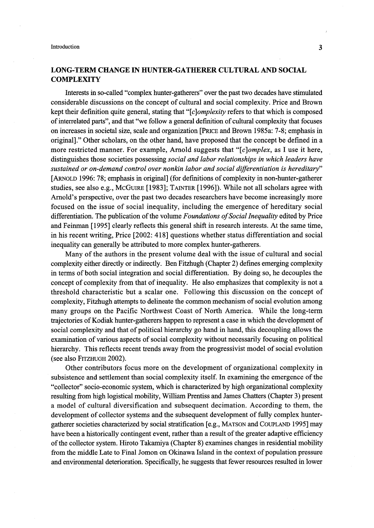# LONG-TERM CHANGE IN HUNTER-GATHERER CULTURAL AND SOCIAL **COMPLEXITY**

 lnterests in so-called "complex hunter-gatherers" over the past two decades have stimulated considerable discussions on the concept of cultural and social complexity. Price and Brown kept their definition quite general, stating that " $[c]$ *omplexity* refers to that which is composed of interrelated parts", and that "we fo11ow a general definition of cultural complexity that focuses on increases in societal size, scale and organization [PRicE and Brown 1985a: 7-8; emphasis in original]." Other scholars, on the other hand, have proposed that the concept be defined in a more restricted manner. For example, Arnold suggests that "[c]omplex, as I use it here, distinguishes those societies possessing social and labor relationships in which leaders have sustained or on-demand control over nonkin labor and social differentiation is hereditary" [ARNOLD 1996: 78; emphasis in original] (for definitions of complexity in non-hunter-gatherer studies, see also e.g., McGUIRE [1983]; TAINTER [1996]). While not all scholars agree with Arnold's perspective, over the past two decades researchers have become increasingly more focused on the issue of social inequality, including the emergence of hereditary social differentiation. The publication of the volume *Foundations of Social Inequality* edited by Price and Feinman [1995] clearly reflects this general shift in research interests. At the same time, in his recent writing, Price [2002: 418] questions whether status differentiation and social inequality can generally be attributed to more complex hunter-gatherers.

 Many of the authors in the present volume deal with the issue of cultural and social complexity either directly or indirectly. Ben Fitzhugh (Chapter 2) defines emerging complexity in terms of both social integration and social differentiation. By doing so, he decouples the concept of complexity from that of inequality. He also emphasizes that complexity is not a threshold characteristic but a scalar one. Following this discussion on the concept of complexity, Fitzhugh attempts to delineate the common mechanism of social evolution among many groups on the Pacific Northwest Coast of North America. While the long-term trajectories of Kodiak hunter-gatherers happen to represent a case in which the development of social complexity and that of political hierarchy go hand in hand, this decoupling allows the examination of various aspects of social complexity without necessarily focusing on political hierarchy. This reflects recent trends away from the progressivist model of social evolution (see also FiTzHuGH 2002).

 Other contributors focus more on the development of organizational complexity in subsistence and settlement than social complexity itself. In examining the emergence of the "collector" socio-economic system, which is characterized by high organizational complexity resulting from high logistical mobility, William Prentiss and James Chatters (Chapter 3) present a model of cultural diversification and subsequent decimation. According to them, the development of collector systems and the subsequent development of fu11y complex huntergatherer societies characterized by social stratification [e.g., MATSON and COUPLAND 1995] may have been a historically contingent event, rather than a result of the greater adaptive efficiency ofthe collector system. Hiroto Takamiya (Chapter 8) examines changes in residential mobility from the middle Late to Final Jomon on Okinawa Island in the context of population pressure and environmenta1 deterioration. Specifically, he suggests that fewer resources resulted in lower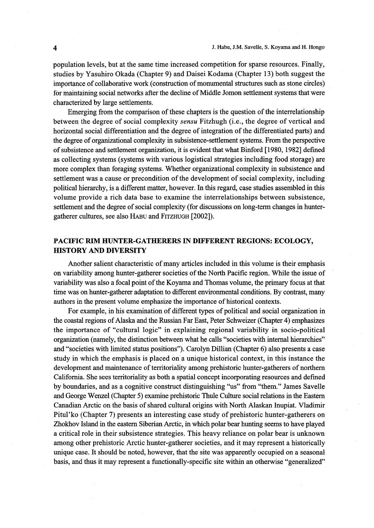population levels, but at the same time increased competition for sparse resources. Finally, studies by Yasuhiro Okada (Chapter 9) and Daisei Kodama (Chapter 13) both suggest the importance of collaborative work (construction of monumental structures such as stone circles) for maintaining social networks after the decline of Middle Jomon settlement systems that were characterized by 1arge settlements.

Emerging from the comparison of these chapters is the question of the interrelationship between the degree of social complexity sensu Fitzhugh (i.e., the degree of vertical and horizontal social differentiation and the degree of integration of the differentiated parts) and the degree of organizational complexity in subsistence-settlement systems. From the perspective of subsistence and settlement organization, it is evident that what Binfbrd [1980, 1982] defined as collecting systems (systems with various logistical strategies including food storage) are more complex than foraging systems. Whether organizational complexity in subsistence and settlement was a cause or precondition of the development of social complexity, including political hierarchy, is a different matter, however. In this regard, case studies assembled in this volume provide a rich data base to examine the interrelationships be'tween subsistence, settlement and the degree of social complexity (for discussions on long-term changes in hunter--gatherer cultures, see also HABu and FITzHuGH [2002]).

# PACIFIC RIM HUNTER-GATHERERS IN DIFFERENT REGIONS: ECOLOGY, HISTORY AND DIVERSITY

Another salient characteristic of many articles included in this volume is their emphasis on variability among hunter-gatherer societies of the North Pacific region. While the issue of variability was also a focal point of the Koyama and Thornas volume, the primary focus at that time was on hunter-gatherer adaptation to different environmental conditions. By contrast, many authors in the present volume emphasize the importance of historical contexts.

For example, in his examination of different types of political and social organization in the coastal regions of Alaska and the Russian Far East, Peter Schweizer (Chapter 4) emphasizes the importance of "cultural logic" in explaining regional variability in socio-political organization (namely, the distinction between what he calls "societies with internal hierarchies" and "societies with limited status positions"). Carolyn Dillian (Chapter 6) also presents a case study in which the emphasis is placed on a unique historical context, in this instance the development and maintenance of territoriality among prehistoric hunter-gatherers of northern California. She sees territoriality as both a spatial concept incorporating resources and defined by boundaries, and as a cognitive constmct distinguishing "us" from "them." James Savelle and George Wenzel (Chapter 5) examine prehistoric Thule Culture social relations in the Eastern Canadian Arctic on the basis of shared cultural origins with North Alaskan Inupiat. Vladimir Pitul'ko (Chapter 7) presents an interesting case study of prehistoric hunter-gatherers on Zhokhov Island in the eastern Siberian Arctic, in which polar bear hunting seems to have played a critical role in their subsistence strategies. This heavy reliance on polar bear is unknown among other prehistoric Arctic hunter-gatherer societies, and it may represent a historically unique case. It should be noted, however, that the site was apparently occupied on a seasonal basis, and thus it may represent a functionally-specific site within an otherwise "generalized"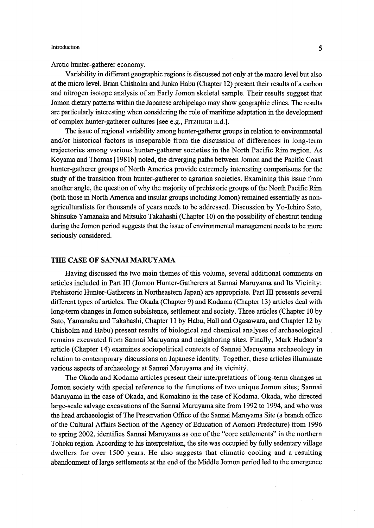Arctic hunter-gatherer economy.

 Variability in different geographic regions is discussed not only at the macro level but also at the micro level. Brian Chisholm and JUnko Habu (Chapter 12) present their results ofa carbon and nitrogen isotope analysis of an Early Jomon skeletal sample. Their results suggest that Jomon dietary patterns within the Japanese archipelago may show geographic clines. The results are particularly interesting when considering the role of maritime adaptation in the development of complex hunter-gatherer cultures [see e.g., FITZHUGH n.d.].

The issue of regional variability among hunter-gatherer groups in relation to environmental and/or historical factors is inseparable from the discussion of differences in long-term trajectories among various hunter-gatherer societies in the North Pacific Rim region. As Koyama and Thomas [198 lb] noted, the diverging paths between Jomon and the Pacific Coast hunter-gatherer groups of North America provide extremely interesting comparisons for the study of the transition from hunter-gatherer to agrarian societies. Examining this issue from another angle, the question of why the majority of prehistoric groups of the North Pacific Rim (both those in North America and insular groups includmg Jomon) remained essentially as nonagriculturalists for thousands of years needs to be addressed. Discussion by Yo-Ichiro Sato, Shinsuke Yamanaka and Mitsuko Takahashi (Chapter 1O) on the possibility of chestnut tending during the Jomon period suggests that the issue of environmental management needs to be more seriously considered.

#### THE CASE OF SANNAI MARUYAMA

 Having discussed the two main themes of this volume, several additional comments on articles included in Part III (Jomon Hunter-Gatherers at Sannai Maruyama and Its Vicinity: Prehistoric Hunter-Gatherers in Northeastern Japan) are appropriate. Part III presents several different types of articles. The Okada (Chapter 9) and Kodama (Chapter 13) articles deal with long-term changes in Jomon subsistence, settlement and society. Three articles (Chapter 1O by Sato, Yamanaka and Takahashi, Chapter 11 by Habu, Hall and Ogasawara, and Chapter 12 by Chisholm and Habu) present results of biological and chemical analyses of archaeological remains excavated from Sannai Maruyama and neighboring sites. Finally, Mark Hudson's article (Chapter 14) examines sociopolitical contexts of Sannai Maruyama archaeology in relation to contemporary discussions on Japanese identity. Together, these articles illuminate various aspects of archaeology at Sannai Maruyama and its vicinity.

 The Okada and Kodama articles present their interpretations of long-terrn changes in Jomon society with special reference to the functions of two unique Jomon sites; Sannai Maruyama in the case of Okada, and Komakino in the case of Kodama. Okada, who directed large-scale salvage excavations of the Sannai Maruyama site from 1992 to 1994, and who was the head archaeologist ofThe Preservation Office of the Sannai Maruyama Site (a branch office of the Cultural Affairs Section of the Agency of Education of Aomori Prefecture) from 1996 to spring 2002, identifies Sannai Maruyama as one of the "core settlements" in the northern Tohoku region. According to his interpretation, the site was occupied by fully sedentary village dwellers for over 1500 years. He also suggests that climatic cooling and a resulting abandonment of large settlements at the end of the Middle Jomon period led to the emergence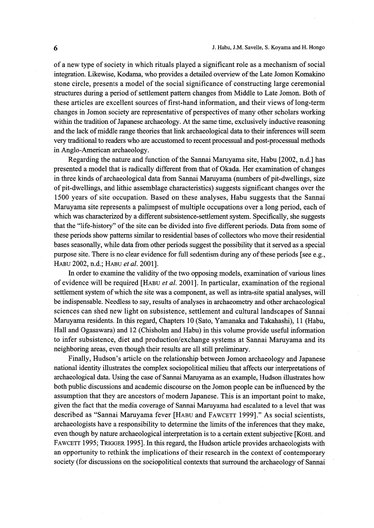of a new type of society in which rituals played a significant role as a mechanism of social integration. Likewise, Kodama, who provides a detailed overview ofthe Late Jomon Komakino stone circle, presents a model of the social significance of constructing large ceremonial stmctures during a period of settlement pattern changes from Middle to Late Jomon. Both of these articles are excellent sources of first-hand information, and their views of long-term changes in Jomon society are representative of perspectives of many other scholars working within the tradition of Japanese archaeology. At the same time, exclusively inductive reasoning and the lack of middle range theories that link archaeological data to their inferences will seem very traditional to readers who are accustomed to recent processual and post-processual methods in Anglo-American archaeology.

Regarding the nature and function of the Sannai Maruyama site, Habu [2002, n.d.] has presented a model that is radically different from that of Okada. Her examination of changes in three kinds of archaeological data from Sannai Maruyama (numbers of pit-dwellings, size of pit-dwellings, and lithic assemblage characteristics) suggests significant changes over the 1500 years of site occupation. Based on these analyses, Habu suggests that the Sannai Maruyama site represents a palimpsest of multiple occupations over a long period, each of which was characterized by a different subsistence-settlement system. Specifically, she suggests that the "life-history" of the site can be divided into five different periods. Data from some of these periods show patterns similar to residential bases of collectors who move their residential bases seasonally, while data from other periods suggest the possibility that it served as a special purpose site. There is no clear evidence for full sedentism during any of these periods [see e.g., HABU 2002, n.d.; HABU et al. 2001].

In order to examine the validity of the two opposing models, examination of various lines of evidence will be required [HABu et aL 2001]. In particular, examination of the regional settlement system of which the site was a component, as well as intra-site spatial analyses, will be indispensable. Needless to say, results of analyses in archaeometry and other archaeological sciences can shed new light on subsistence, settlement and cultural landscapes of Sannai Maruyama residents. In this regard, Chapters 1O (Sato, Yamanaka and Takahashi), 1 1 (Habu, Hali and Ogasawara) and 12 (Chisholm and Habu) in this volume provide useful infbrmation to infer subsistence, diet and production/exchange systems at Sannai Maruyama and its neighboring areas, even though their results are all still preliminary.

 Finally, Hudson's article on the relationship between Jomon archaeology and Japanese national identity illustrates the complex sociopolitical milieu that affects our interpretations of archaeological data. Using the case of Sannai Maruyama as an example, Hudson illustrates how both public discussions and academic discourse on the Jomon people can be influenced by the assumption that they are ancestors of modern Japanese. This is an important point to make, given the fact that the media coverage of Sannai Maruyama had escalated to a level that was described as "Sannai Maruyama fever [HABu and FAwcETT 1999]." As social scientists, archaeologists have a responsibility to determine the limits of the inferences that they make, even though by nature archaeological interpretation is to a certain extent subjective [KOHL and FAwcETT 1995; TRiGGER 19951. In this regard, the Hudson article provides archaeologists with an opportunity to rethink the implications of their research in the context of contemporary society (for discussions on the sociopolitical contexts that surround the archaeology of Sannai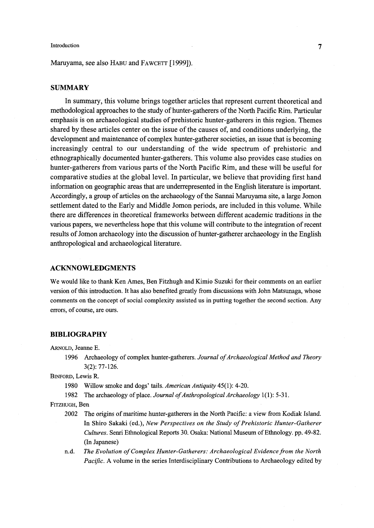Maruyama, see also HABU and FAWCETT [1999]).

### **SUMMARY**

 In summary, this volume brings together articles that represent current theoretical and methodological approaches to the study of hunter-gatherers of the North Pacific Rim. Particular emphasis is on archaeological studies of prehistoric hunter-gatherers in this region. Themes shared by these articles center on the issue of the causes of, and conditions underlying, the development and maintenance of complex hunter-gatherer societies, an issue that is becoming increasingly central to our understanding of the wide spectrum of prehistoric and ethnographically documented hunter-gatherers. This volume also provides case studies on hunter-gatherers from various parts of the North Pacific Rim, and these will be useful for comparative studies at the global level. In particular, we believe that providing first hand information on geographic areas that are underrepresented in the English literature is important. Accordingly, a group of articles on the archaeology of the Sannai Maruyama site, a large Jomon settlement dated to the Early and Middle Jomon periods, are included in this volume. While there are differences in theoretical fiamewotks between different academic traditions in the various papers, we nevertheless hope that this volume will contribute to the integration of recent results of Jomon archaeology into the discussion of hunter-gatherer archaeology in the English anthropological and archaeological iiterature.

## ACKNNOWLEDGMENTS

We would like to thank Ken Ames, Ben Fitzhugh and Kimio Suzuki for their comments on an earlier version of this introdnction. It has also benefited greatly from discussions with Jolm Matsunaga, whose comments on the concept of social complexity assisted us in putting together the second section. Any errors, of course, are ours.

#### BIBLIOGRAPHY

ARNoLD, Jeanne E.

1996 Archaeology of complex hunter-gatherers. Journal of Archaeological Method and Theory 3(2): 77-126.

BINFoRD, Lewis R.

- 1980 Willow smoke and dogs' tails. American Antiguity 45(1): 4-20.
- 1982 The archaeology of place. Journal of Anthropological Archaeology 1(1): 5-31.
- FITzHuGH, Ben
	- 2002 The origins of maritime hunter-gatherers in the North Pacific: a view from Kodiak Island. In Shiro Sakaki (ed.), New Perspectives on the Study of Prehistoric Hunter-Gatherer Cultures. Senri Ethnological Reports 30. Osaka: National Museum of Ethnology. pp. 49-82. (In Japanese)
	- n.d. The Evolution of Complex Hunter-Gatherers: Archaeological Evidence from the North Pacific. A volume in the series Interdisciplinary Contributions to Archaeology edited by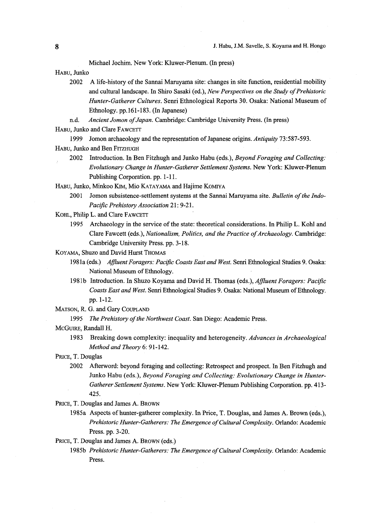Michael Jochim. New York: Kluwer-Plenum. (In press)

HABU, Junko

- A life-history of the Sannai Maruyama site: changes in site function, residential mobility 2002 and cultural landscape. In Shiro Sasaki (ed.), New Perspectives on the Study of Prehistoric Hunter-Gatherer Cultures. Senri Ethnological Reports 30. Osaka: National Museum of Ethnology. pp.161-183. (In Japanese)
- n.d. Ancient Jomon of Japan. Cambridge: Cambridge University Press. (In press)

HABU, Junko and Clare FAWCETT

1999 Jomon archaeology and the representation of Japanese origins. Antiquity 73:587-593.

- HABU. Junko and Ben FITZHUGH
	- 2002 Introduction. In Ben Fitzhugh and Junko Habu (eds.), Beyond Foraging and Collecting: Evolutionary Change in Hunter-Gatherer Settlement Systems. New York: Kluwer-Plenum Publishing Corporation. pp. 1-11.

HABU, Junko, Minkoo KIM, Mio KATAYAMA and Hajime KOMIYA

- 2001 Jomon subsistence-settlement systems at the Sannai Maruyama site. Bulletin of the Indo-Pacific Prehistory Association 21: 9-21.
- KOHL, Philip L. and Clare FAWCETT
	- 1995 Archaeology in the service of the state: theoretical considerations. In Philip L. Kohl and Clare Fawcett (eds.), Nationalism, Politics, and the Practice of Archaeology. Cambridge: Cambridge University Press. pp. 3-18.

KOYAMA, Shuzo and David Hurst THOMAS

- 1981a (eds.) Affluent Foragers: Pacific Coasts East and West. Senri Ethnological Studies 9. Osaka: National Museum of Ethnology.
- 1981b Introduction. In Shuzo Koyama and David H. Thomas (eds.), Affluent Foragers: Pacific Coasts East and West. Senri Ethnological Studies 9. Osaka: National Museum of Ethnology. pp. 1-12.

MATSON, R. G. and Gary COUPLAND

1995 The Prehistory of the Northwest Coast. San Diego: Academic Press.

MCGUIRE, Randall H.

1983 Breaking down complexity: inequality and heterogeneity. Advances in Archaeological Method and Theory 6: 91-142.

PRICE, T. Douglas

2002 Afterword: beyond foraging and collecting: Retrospect and prospect. In Ben Fitzhugh and Junko Habu (eds.), Beyond Foraging and Collecting: Evolutionary Change in Hunter-Gatherer Settlement Systems. New York: Kluwer-Plenum Publishing Corporation. pp. 413-425.

PRICE, T. Douglas and James A. BROWN

1985a Aspects of hunter-gatherer complexity. In Price, T. Douglas, and James A. Brown (eds.), Prehistoric Hunter-Gatherers: The Emergence of Cultural Complexity. Orlando: Academic Press. pp. 3-20.

PRICE, T. Douglas and James A. BROWN (eds.)

1985b Prehistoric Hunter-Gatherers: The Emergence of Cultural Complexity. Orlando: Academic Press.